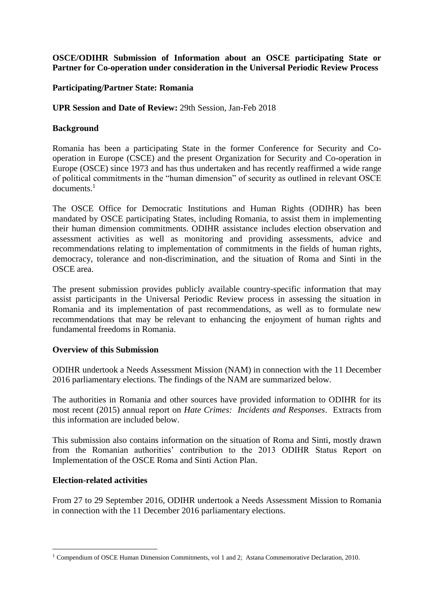## **OSCE/ODIHR Submission of Information about an OSCE participating State or Partner for Co-operation under consideration in the Universal Periodic Review Process**

## **Participating/Partner State: Romania**

## **UPR Session and Date of Review:** 29th Session, Jan-Feb 2018

## **Background**

Romania has been a participating State in the former Conference for Security and Cooperation in Europe (CSCE) and the present Organization for Security and Co-operation in Europe (OSCE) since 1973 and has thus undertaken and has recently reaffirmed a wide range of political commitments in the "human dimension" of security as outlined in relevant OSCE documents. 1

The OSCE Office for Democratic Institutions and Human Rights (ODIHR) has been mandated by OSCE participating States, including Romania, to assist them in implementing their human dimension commitments. ODIHR assistance includes election observation and assessment activities as well as monitoring and providing assessments, advice and recommendations relating to implementation of commitments in the fields of human rights, democracy, tolerance and non-discrimination, and the situation of Roma and Sinti in the OSCE area.

The present submission provides publicly available country-specific information that may assist participants in the Universal Periodic Review process in assessing the situation in Romania and its implementation of past recommendations, as well as to formulate new recommendations that may be relevant to enhancing the enjoyment of human rights and fundamental freedoms in Romania.

### **Overview of this Submission**

ODIHR undertook a Needs Assessment Mission (NAM) in connection with the 11 December 2016 parliamentary elections. The findings of the NAM are summarized below.

The authorities in Romania and other sources have provided information to ODIHR for its most recent (2015) annual report on *Hate Crimes: Incidents and Responses*. Extracts from this information are included below.

This submission also contains information on the situation of Roma and Sinti, mostly drawn from the Romanian authorities' contribution to the 2013 ODIHR Status Report on Implementation of the OSCE Roma and Sinti Action Plan.

### **Election-related activities**

<u>.</u>

From 27 to 29 September 2016, ODIHR undertook a Needs Assessment Mission to Romania in connection with the 11 December 2016 parliamentary elections.

<sup>1</sup> Compendium of OSCE Human Dimension Commitments, vol 1 and 2; Astana Commemorative Declaration, 2010.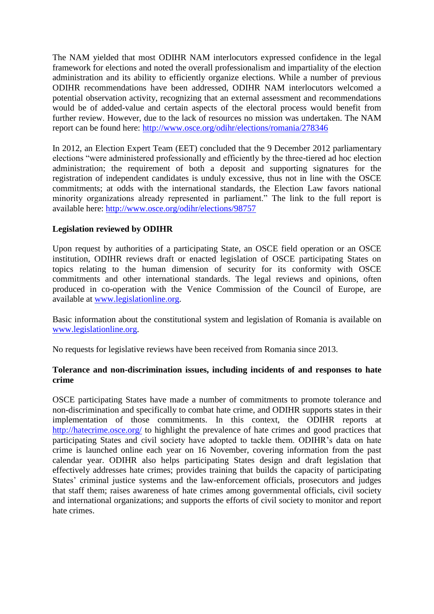The NAM yielded that most ODIHR NAM interlocutors expressed confidence in the legal framework for elections and noted the overall professionalism and impartiality of the election administration and its ability to efficiently organize elections. While a number of previous ODIHR recommendations have been addressed, ODIHR NAM interlocutors welcomed a potential observation activity, recognizing that an external assessment and recommendations would be of added-value and certain aspects of the electoral process would benefit from further review. However, due to the lack of resources no mission was undertaken. The NAM report can be found here:<http://www.osce.org/odihr/elections/romania/278346>

In 2012, an Election Expert Team (EET) concluded that the 9 December 2012 parliamentary elections "were administered professionally and efficiently by the three-tiered ad hoc election administration; the requirement of both a deposit and supporting signatures for the registration of independent candidates is unduly excessive, thus not in line with the OSCE commitments; at odds with the international standards, the Election Law favors national minority organizations already represented in parliament." The link to the full report is available here:<http://www.osce.org/odihr/elections/98757>

## **Legislation reviewed by ODIHR**

Upon request by authorities of a participating State, an OSCE field operation or an OSCE institution, ODIHR reviews draft or enacted legislation of OSCE participating States on topics relating to the human dimension of security for its conformity with OSCE commitments and other international standards. The legal reviews and opinions, often produced in co-operation with the Venice Commission of the Council of Europe, are available at [www.legislationline.org.](http://www.legislationline.org/)

Basic information about the constitutional system and legislation of Romania is available on [www.legislationline.org.](http://www.legislationline.org/)

No requests for legislative reviews have been received from Romania since 2013.

### **Tolerance and non-discrimination issues, including incidents of and responses to hate crime**

OSCE participating States have made a number of commitments to promote tolerance and non-discrimination and specifically to combat hate crime, and ODIHR supports states in their implementation of those commitments. In this context, the ODIHR reports at <http://hatecrime.osce.org/> to highlight the prevalence of hate crimes and good practices that participating States and civil society have adopted to tackle them. ODIHR's data on hate crime is launched online each year on 16 November, covering information from the past calendar year. ODIHR also helps participating States design and draft legislation that effectively addresses hate crimes; provides training that builds the capacity of participating States' criminal justice systems and the law-enforcement officials, prosecutors and judges that staff them; raises awareness of hate crimes among governmental officials, civil society and international organizations; and supports the efforts of civil society to monitor and report hate crimes.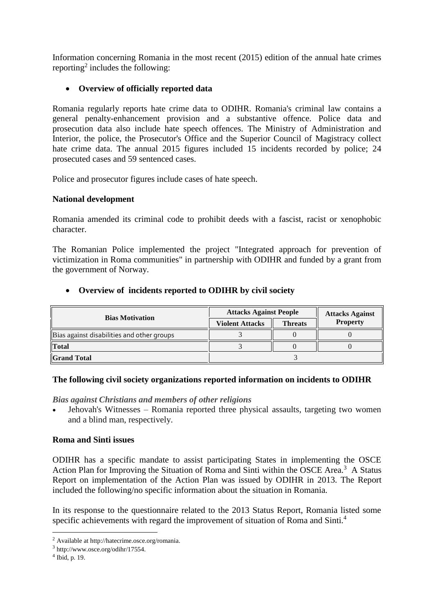Information concerning Romania in the most recent (2015) edition of the annual hate crimes reporting<sup>2</sup> includes the following:

# **Overview of officially reported data**

Romania regularly reports hate crime data to ODIHR. Romania's criminal law contains a general penalty-enhancement provision and a substantive offence. Police data and prosecution data also include hate speech offences. The Ministry of Administration and Interior, the police, the Prosecutor's Office and the Superior Council of Magistracy collect hate crime data. The annual 2015 figures included 15 incidents recorded by police: 24 prosecuted cases and 59 sentenced cases.

Police and prosecutor figures include cases of hate speech.

## **National development**

Romania amended its criminal code to prohibit deeds with a fascist, racist or xenophobic character.

The Romanian Police implemented the project "Integrated approach for prevention of victimization in Roma communities" in partnership with ODIHR and funded by a grant from the government of Norway.

# **Overview of incidents reported to ODIHR by civil society**

| <b>Bias Motivation</b>                     | <b>Attacks Against People</b> |                | <b>Attacks Against</b> |
|--------------------------------------------|-------------------------------|----------------|------------------------|
|                                            | <b>Violent Attacks</b>        | <b>Threats</b> | <b>Property</b>        |
| Bias against disabilities and other groups |                               |                |                        |
| <b>Total</b>                               |                               |                |                        |
| <b>Grand Total</b>                         |                               |                |                        |

# **The following civil society organizations reported information on incidents to ODIHR**

### *[Bias against Christians and members of other religions](http://hatecrime.osce.org/what-hate-crime/bias-against-muslims)*

 Jehovah's Witnesses – Romania reported three physical assaults, targeting two women and a blind man, respectively.

# **Roma and Sinti issues**

ODIHR has a specific mandate to assist participating States in implementing the OSCE Action Plan for Improving the Situation of Roma and Sinti within the OSCE Area.<sup>3</sup> A Status Report on implementation of the Action Plan was issued by ODIHR in 2013. The Report included the following/no specific information about the situation in Romania.

In its response to the questionnaire related to the 2013 Status Report, Romania listed some specific achievements with regard the improvement of situation of Roma and Sinti.<sup>4</sup>

1

<sup>2</sup> Available at http://hatecrime.osce.org/romania.

<sup>3</sup> http://www.osce.org/odihr/17554.

<sup>4</sup> Ibid, p. 19.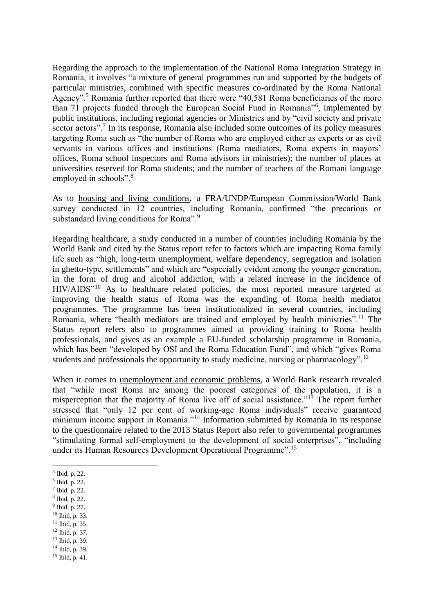Regarding the approach to the implementation of the National Roma Integration Strategy in Romania, it involves "a mixture of general programmes run and supported by the budgets of particular ministries, combined with specific measures co-ordinated by the Roma National Agency".<sup>5</sup> Romania further reported that there were "40,581 Roma beneficiaries of the more than 71 projects funded through the European Social Fund in Romania"<sup>6</sup> , implemented by public institutions, including regional agencies or Ministries and by "civil society and private sector actors".<sup>7</sup> In its response, Romania also included some outcomes of its policy measures targeting Roma such as "the number of Roma who are employed either as experts or as civil servants in various offices and institutions (Roma mediators, Roma experts in mayors' offices, Roma school inspectors and Roma advisors in ministries); the number of places at universities reserved for Roma students; and the number of teachers of the Romani language employed in schools".<sup>8</sup>

As to housing and living conditions, a FRA/UNDP/European Commission/World Bank survey conducted in 12 countries, including Romania, confirmed "the precarious or substandard living conditions for Roma".<sup>9</sup>

Regarding healthcare, a study conducted in a number of countries including Romania by the World Bank and cited by the Status report refer to factors which are impacting Roma family life such as "high, long-term unemployment, welfare dependency, segregation and isolation in ghetto-type, settlements" and which are "especially evident among the younger generation, in the form of drug and alcohol addiction, with a related increase in the incidence of HIV/AIDS"<sup>10</sup> As to healthcare related policies, the most reported measure targeted at improving the health status of Roma was the expanding of Roma health mediator programmes. The programme has been institutionalized in several countries, including Romania, where "health mediators are trained and employed by health ministries".<sup>11</sup> The Status report refers also to programmes aimed at providing training to Roma health professionals, and gives as an example a EU-funded scholarship programme in Romania, which has been "developed by OSI and the Roma Education Fund", and which "gives Roma students and professionals the opportunity to study medicine, nursing or pharmacology".<sup>12</sup>

When it comes to unemployment and economic problems, a World Bank research revealed that "while most Roma are among the poorest categories of the population, it is a misperception that the majority of Roma live off of social assistance."<sup>13</sup> The report further stressed that "only 12 per cent of working-age Roma individuals" receive guaranteed minimum income support in Romania."<sup>14</sup> Information submitted by Romania in its response to the questionnaire related to the 2013 Status Report also refer to governmental programmes "stimulating formal self-employment to the development of social enterprises", "including under its Human Resources Development Operational Programme".<sup>15</sup>

<u>.</u>

- 8 Ibid, p. 22.
- <sup>9</sup> Ibid, p. 27.
- <sup>10</sup> Ibid, p. 33. <sup>11</sup> Ibid, p. 35.
- <sup>12</sup> Ibid, p. 37.
- <sup>13</sup> Ibid, p. 39.
- <sup>14</sup> Ibid, p. 39.

<sup>5</sup> Ibid, p. 22.

<sup>6</sup> Ibid, p. 22.

<sup>7</sup> Ibid, p. 22.

 $15$  Ibid, p. 41.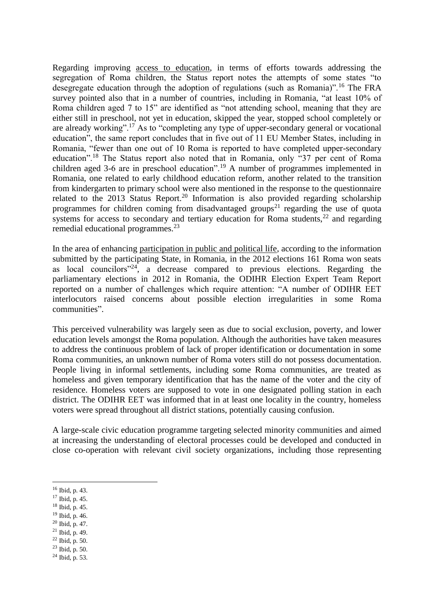Regarding improving access to education, in terms of efforts towards addressing the segregation of Roma children, the Status report notes the attempts of some states "to desegregate education through the adoption of regulations (such as Romania)".<sup>16</sup> The FRA survey pointed also that in a number of countries, including in Romania, "at least 10% of Roma children aged 7 to 15" are identified as "not attending school, meaning that they are either still in preschool, not yet in education, skipped the year, stopped school completely or are already working".<sup>17</sup> As to "completing any type of upper-secondary general or vocational education", the same report concludes that in five out of 11 EU Member States, including in Romania, "fewer than one out of 10 Roma is reported to have completed upper-secondary education".<sup>18</sup> The Status report also noted that in Romania, only "37 per cent of Roma children aged 3-6 are in preschool education".<sup>19</sup> A number of programmes implemented in Romania, one related to early childhood education reform, another related to the transition from kindergarten to primary school were also mentioned in the response to the questionnaire related to the 2013 Status Report.<sup>20</sup> Information is also provided regarding scholarship programmes for children coming from disadvantaged groups<sup>21</sup> regarding the use of quota systems for access to secondary and tertiary education for Roma students,  $^{22}$  and regarding remedial educational programmes.<sup>23</sup>

In the area of enhancing participation in public and political life, according to the information submitted by the participating State, in Romania, in the 2012 elections 161 Roma won seats as local councilors<sup> $24$ </sup>, a decrease compared to previous elections. Regarding the parliamentary elections in 2012 in Romania, the ODIHR Election Expert Team Report reported on a number of challenges which require attention: "A number of ODIHR EET interlocutors raised concerns about possible election irregularities in some Roma communities".

This perceived vulnerability was largely seen as due to social exclusion, poverty, and lower education levels amongst the Roma population. Although the authorities have taken measures to address the continuous problem of lack of proper identification or documentation in some Roma communities, an unknown number of Roma voters still do not possess documentation. People living in informal settlements, including some Roma communities, are treated as homeless and given temporary identification that has the name of the voter and the city of residence. Homeless voters are supposed to vote in one designated polling station in each district. The ODIHR EET was informed that in at least one locality in the country, homeless voters were spread throughout all district stations, potentially causing confusion.

A large-scale civic education programme targeting selected minority communities and aimed at increasing the understanding of electoral processes could be developed and conducted in close co-operation with relevant civil society organizations, including those representing

1

- <sup>17</sup> Ibid, p. 45.
- <sup>18</sup> Ibid, p. 45.
- <sup>19</sup> Ibid, p. 46.
- <sup>20</sup> Ibid, p. 47.
- $21$  Ibid, p. 49.
- <sup>22</sup> Ibid, p. 50.
- <sup>23</sup> Ibid, p. 50.
- $^{24}$  Ibid, p. 53.

<sup>16</sup> Ibid, p. 43.